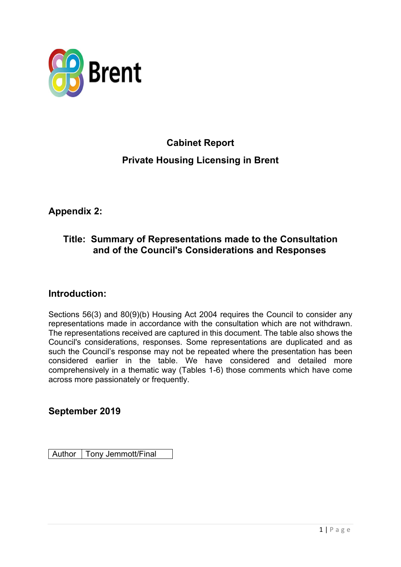

# **Cabinet Report Private Housing Licensing in Brent**

**Appendix 2:**

### **Title: Summary of Representations made to the Consultation and of the Council's Considerations and Responses**

#### **Introduction:**

Sections 56(3) and 80(9)(b) Housing Act 2004 requires the Council to consider any representations made in accordance with the consultation which are not withdrawn. The representations received are captured in this document. The table also shows the Council's considerations, responses. Some representations are duplicated and as such the Council's response may not be repeated where the presentation has been considered earlier in the table. We have considered and detailed more comprehensively in a thematic way (Tables 1-6) those comments which have come across more passionately or frequently.

#### **September 2019**

Author | Tony Jemmott/Final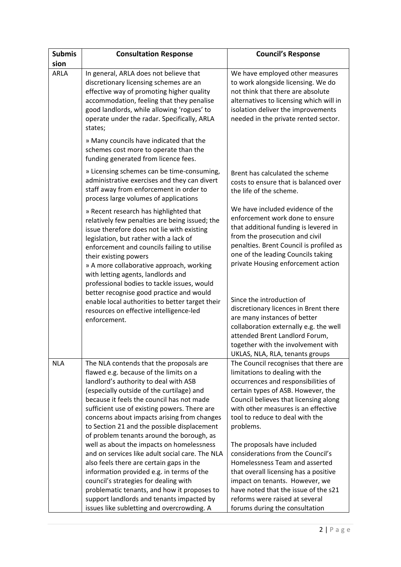| <b>Submis</b><br>sion | <b>Consultation Response</b>                                                                                                                                                                                                                                                                                                                                                                                    | <b>Council's Response</b>                                                                                                                                                                                                                                                                 |
|-----------------------|-----------------------------------------------------------------------------------------------------------------------------------------------------------------------------------------------------------------------------------------------------------------------------------------------------------------------------------------------------------------------------------------------------------------|-------------------------------------------------------------------------------------------------------------------------------------------------------------------------------------------------------------------------------------------------------------------------------------------|
| <b>ARLA</b>           | In general, ARLA does not believe that<br>discretionary licensing schemes are an<br>effective way of promoting higher quality<br>accommodation, feeling that they penalise<br>good landlords, while allowing 'rogues' to<br>operate under the radar. Specifically, ARLA<br>states;                                                                                                                              | We have employed other measures<br>to work alongside licensing. We do<br>not think that there are absolute<br>alternatives to licensing which will in<br>isolation deliver the improvements<br>needed in the private rented sector.                                                       |
|                       | » Many councils have indicated that the<br>schemes cost more to operate than the<br>funding generated from licence fees.                                                                                                                                                                                                                                                                                        |                                                                                                                                                                                                                                                                                           |
|                       | » Licensing schemes can be time-consuming,<br>administrative exercises and they can divert<br>staff away from enforcement in order to<br>process large volumes of applications                                                                                                                                                                                                                                  | Brent has calculated the scheme<br>costs to ensure that is balanced over<br>the life of the scheme.                                                                                                                                                                                       |
|                       | » Recent research has highlighted that<br>relatively few penalties are being issued; the<br>issue therefore does not lie with existing<br>legislation, but rather with a lack of<br>enforcement and councils failing to utilise<br>their existing powers<br>» A more collaborative approach, working<br>with letting agents, landlords and<br>professional bodies to tackle issues, would                       | We have included evidence of the<br>enforcement work done to ensure<br>that additional funding is levered in<br>from the prosecution and civil<br>penalties. Brent Council is profiled as<br>one of the leading Councils taking<br>private Housing enforcement action                     |
|                       | better recognise good practice and would<br>enable local authorities to better target their<br>resources on effective intelligence-led<br>enforcement.                                                                                                                                                                                                                                                          | Since the introduction of<br>discretionary licences in Brent there<br>are many instances of better<br>collaboration externally e.g. the well<br>attended Brent Landlord Forum,<br>together with the involvement with<br>UKLAS, NLA, RLA, tenants groups                                   |
| <b>NLA</b>            | The NLA contends that the proposals are<br>flawed e.g. because of the limits on a<br>landlord's authority to deal with ASB<br>(especially outside of the curtilage) and<br>because it feels the council has not made<br>sufficient use of existing powers. There are<br>concerns about impacts arising from changes<br>to Section 21 and the possible displacement<br>of problem tenants around the borough, as | The Council recognises that there are<br>limitations to dealing with the<br>occurrences and responsibilities of<br>certain types of ASB. However, the<br>Council believes that licensing along<br>with other measures is an effective<br>tool to reduce to deal with the<br>problems.     |
|                       | well as about the impacts on homelessness<br>and on services like adult social care. The NLA<br>also feels there are certain gaps in the<br>information provided e.g. in terms of the<br>council's strategies for dealing with<br>problematic tenants, and how it proposes to<br>support landlords and tenants impacted by<br>issues like subletting and overcrowding. A                                        | The proposals have included<br>considerations from the Council's<br>Homelessness Team and asserted<br>that overall licensing has a positive<br>impact on tenants. However, we<br>have noted that the issue of the s21<br>reforms were raised at several<br>forums during the consultation |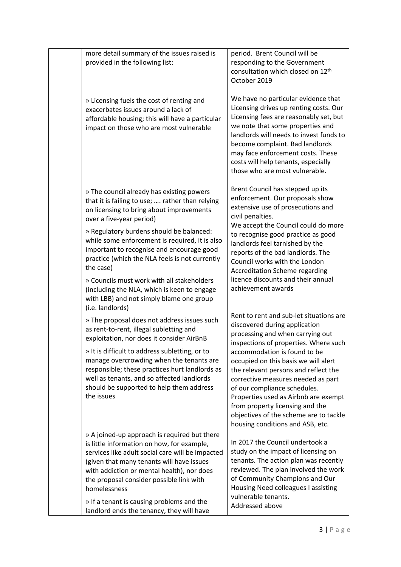| more detail summary of the issues raised is<br>provided in the following list:                                                                                                                                                                                                                        | period. Brent Council will be<br>responding to the Government<br>consultation which closed on 12 <sup>th</sup><br>October 2019                                                                                                                                                                                                                          |
|-------------------------------------------------------------------------------------------------------------------------------------------------------------------------------------------------------------------------------------------------------------------------------------------------------|---------------------------------------------------------------------------------------------------------------------------------------------------------------------------------------------------------------------------------------------------------------------------------------------------------------------------------------------------------|
| » Licensing fuels the cost of renting and<br>exacerbates issues around a lack of<br>affordable housing; this will have a particular<br>impact on those who are most vulnerable                                                                                                                        | We have no particular evidence that<br>Licensing drives up renting costs. Our<br>Licensing fees are reasonably set, but<br>we note that some properties and<br>landlords will needs to invest funds to<br>become complaint. Bad landlords<br>may face enforcement costs. These<br>costs will help tenants, especially<br>those who are most vulnerable. |
| » The council already has existing powers<br>that it is failing to use;  rather than relying<br>on licensing to bring about improvements<br>over a five-year period)                                                                                                                                  | Brent Council has stepped up its<br>enforcement. Our proposals show<br>extensive use of prosecutions and<br>civil penalties.                                                                                                                                                                                                                            |
| » Regulatory burdens should be balanced:<br>while some enforcement is required, it is also<br>important to recognise and encourage good<br>practice (which the NLA feels is not currently<br>the case)                                                                                                | We accept the Council could do more<br>to recognise good practice as good<br>landlords feel tarnished by the<br>reports of the bad landlords. The<br>Council works with the London<br><b>Accreditation Scheme regarding</b>                                                                                                                             |
| » Councils must work with all stakeholders<br>(including the NLA, which is keen to engage<br>with LBB) and not simply blame one group<br>(i.e. landlords)                                                                                                                                             | licence discounts and their annual<br>achievement awards                                                                                                                                                                                                                                                                                                |
| » The proposal does not address issues such<br>as rent-to-rent, illegal subletting and<br>exploitation, nor does it consider AirBnB                                                                                                                                                                   | Rent to rent and sub-let situations are<br>discovered during application<br>processing and when carrying out<br>inspections of properties. Where such                                                                                                                                                                                                   |
| » It is difficult to address subletting, or to<br>manage overcrowding when the tenants are<br>responsible; these practices hurt landlords as<br>well as tenants, and so affected landlords<br>should be supported to help them address<br>the issues                                                  | accommodation is found to be<br>occupied on this basis we will alert<br>the relevant persons and reflect the<br>corrective measures needed as part<br>of our compliance schedules.<br>Properties used as Airbnb are exempt<br>from property licensing and the<br>objectives of the scheme are to tackle<br>housing conditions and ASB, etc.             |
| » A joined-up approach is required but there<br>is little information on how, for example,<br>services like adult social care will be impacted<br>(given that many tenants will have issues<br>with addiction or mental health), nor does<br>the proposal consider possible link with<br>homelessness | In 2017 the Council undertook a<br>study on the impact of licensing on<br>tenants. The action plan was recently<br>reviewed. The plan involved the work<br>of Community Champions and Our<br>Housing Need colleagues I assisting<br>vulnerable tenants.                                                                                                 |
| » If a tenant is causing problems and the<br>landlord ends the tenancy, they will have                                                                                                                                                                                                                | Addressed above                                                                                                                                                                                                                                                                                                                                         |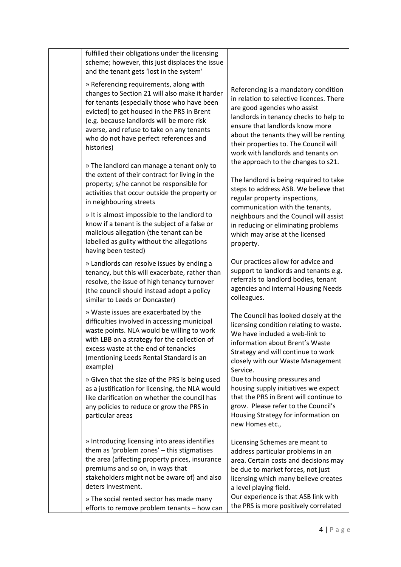| fulfilled their obligations under the licensing<br>scheme; however, this just displaces the issue<br>and the tenant gets 'lost in the system'                                                                                                                                                                                           |                                                                                                                                                                                                                                          |
|-----------------------------------------------------------------------------------------------------------------------------------------------------------------------------------------------------------------------------------------------------------------------------------------------------------------------------------------|------------------------------------------------------------------------------------------------------------------------------------------------------------------------------------------------------------------------------------------|
| » Referencing requirements, along with<br>changes to Section 21 will also make it harder<br>for tenants (especially those who have been<br>evicted) to get housed in the PRS in Brent<br>(e.g. because landlords will be more risk<br>averse, and refuse to take on any tenants<br>who do not have perfect references and<br>histories) | Referencing is a mandato<br>in relation to selective lice<br>are good agencies who as<br>landlords in tenancy chec<br>ensure that landlords kno<br>about the tenants they wi<br>their properties to. The Co<br>work with landlords and t |
| » The landlord can manage a tenant only to<br>the extent of their contract for living in the<br>property; s/he cannot be responsible for<br>activities that occur outside the property or<br>in neighbouring streets                                                                                                                    | the approach to the chang<br>The landlord is being requ<br>steps to address ASB. We<br>regular property inspectio<br>communication with the t                                                                                            |
| » It is almost impossible to the landlord to<br>know if a tenant is the subject of a false or<br>malicious allegation (the tenant can be<br>labelled as guilty without the allegations<br>having been tested)                                                                                                                           | neighbours and the Cound<br>in reducing or eliminating<br>which may arise at the lict<br>property.                                                                                                                                       |
| » Landlords can resolve issues by ending a<br>tenancy, but this will exacerbate, rather than<br>resolve, the issue of high tenancy turnover<br>(the council should instead adopt a policy<br>similar to Leeds or Doncaster)                                                                                                             | Our practices allow for ad<br>support to landlords and<br>referrals to landlord bodi<br>agencies and internal Hou<br>colleagues.                                                                                                         |
| » Waste issues are exacerbated by the<br>difficulties involved in accessing municipal<br>waste points. NLA would be willing to work<br>with LBB on a strategy for the collection of<br>excess waste at the end of tenancies<br>(mentioning Leeds Rental Standard is an<br>example)                                                      | The Council has looked clo<br>licensing condition relatin<br>We have included a web-<br>information about Brent's<br>Strategy and will continue<br>closely with our Waste M<br>Service.                                                  |
| » Given that the size of the PRS is being used<br>as a justification for licensing, the NLA would<br>like clarification on whether the council has<br>any policies to reduce or grow the PRS in<br>particular areas                                                                                                                     | Due to housing pressures<br>housing supply initiatives<br>that the PRS in Brent will<br>grow. Please refer to the<br>Housing Strategy for infor<br>new Homes etc.,                                                                       |
| » Introducing licensing into areas identifies<br>them as 'problem zones' - this stigmatises<br>the area (affecting property prices, insurance<br>premiums and so on, in ways that<br>stakeholders might not be aware of) and also<br>deters investment.                                                                                 | Licensing Schemes are me<br>address particular probler<br>area. Certain costs and de<br>be due to market forces, i<br>licensing which many beli<br>a level playing field.                                                                |
| » The social rented sector has made many<br>efforts to remove problem tenants - how can                                                                                                                                                                                                                                                 | Our experience is that AS<br>the PRS is more positively                                                                                                                                                                                  |

ry condition ences. There ssist ks to help to w more ill be renting ouncil will tenants on ges to s21.

ired to take believe that ons, tenants, cil will assist problems ensed

lvice and tenants e.g. es, tenant **asing Needs** 

osely at the lg to waste. link to s Waste e to work lanagement

and we expect continue to Council's mation on

eant to ms in an ecisions may not just ieve creates

**B** link with correlated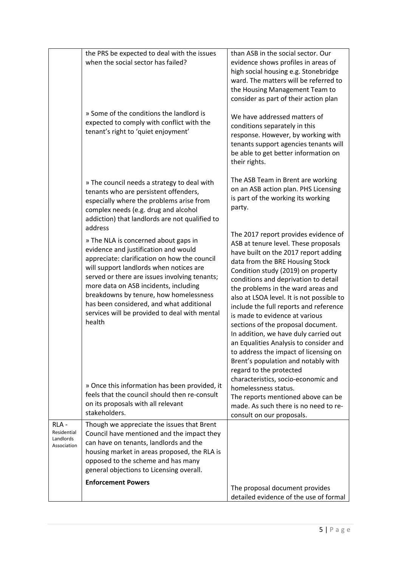|                                                 | the PRS be expected to deal with the issues<br>when the social sector has failed?<br>» Some of the conditions the landlord is<br>expected to comply with conflict with the<br>tenant's right to 'quiet enjoyment'                                                                                                                                                                                                             | than ASB in the social sector. Our<br>evidence shows profiles in areas of<br>high social housing e.g. Stonebridge<br>ward. The matters will be referred to<br>the Housing Management Team to<br>consider as part of their action plan<br>We have addressed matters of<br>conditions separately in this<br>response. However, by working with<br>tenants support agencies tenants will<br>be able to get better information on<br>their rights.                                                                                                                                                                                           |
|-------------------------------------------------|-------------------------------------------------------------------------------------------------------------------------------------------------------------------------------------------------------------------------------------------------------------------------------------------------------------------------------------------------------------------------------------------------------------------------------|------------------------------------------------------------------------------------------------------------------------------------------------------------------------------------------------------------------------------------------------------------------------------------------------------------------------------------------------------------------------------------------------------------------------------------------------------------------------------------------------------------------------------------------------------------------------------------------------------------------------------------------|
|                                                 | » The council needs a strategy to deal with<br>tenants who are persistent offenders,<br>especially where the problems arise from<br>complex needs (e.g. drug and alcohol<br>addiction) that landlords are not qualified to                                                                                                                                                                                                    | The ASB Team in Brent are working<br>on an ASB action plan. PHS Licensing<br>is part of the working its working<br>party.                                                                                                                                                                                                                                                                                                                                                                                                                                                                                                                |
|                                                 | address<br>» The NLA is concerned about gaps in<br>evidence and justification and would<br>appreciate: clarification on how the council<br>will support landlords when notices are<br>served or there are issues involving tenants;<br>more data on ASB incidents, including<br>breakdowns by tenure, how homelessness<br>has been considered, and what additional<br>services will be provided to deal with mental<br>health | The 2017 report provides evidence of<br>ASB at tenure level. These proposals<br>have built on the 2017 report adding<br>data from the BRE Housing Stock<br>Condition study (2019) on property<br>conditions and deprivation to detail<br>the problems in the ward areas and<br>also at LSOA level. It is not possible to<br>include the full reports and reference<br>is made to evidence at various<br>sections of the proposal document.<br>In addition, we have duly carried out<br>an Equalities Analysis to consider and<br>to address the impact of licensing on<br>Brent's population and notably with<br>regard to the protected |
|                                                 | » Once this information has been provided, it<br>feels that the council should then re-consult<br>on its proposals with all relevant<br>stakeholders.                                                                                                                                                                                                                                                                         | characteristics, socio-economic and<br>homelessness status.<br>The reports mentioned above can be<br>made. As such there is no need to re-<br>consult on our proposals.                                                                                                                                                                                                                                                                                                                                                                                                                                                                  |
| RLA-<br>Residential<br>Landlords<br>Association | Though we appreciate the issues that Brent<br>Council have mentioned and the impact they<br>can have on tenants, landlords and the<br>housing market in areas proposed, the RLA is<br>opposed to the scheme and has many<br>general objections to Licensing overall.                                                                                                                                                          |                                                                                                                                                                                                                                                                                                                                                                                                                                                                                                                                                                                                                                          |
|                                                 | <b>Enforcement Powers</b>                                                                                                                                                                                                                                                                                                                                                                                                     | The proposal document provides<br>detailed evidence of the use of formal                                                                                                                                                                                                                                                                                                                                                                                                                                                                                                                                                                 |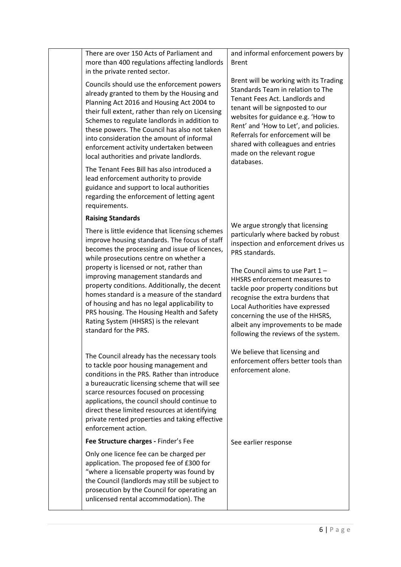| There are over 150 Acts of Parliament and<br>more than 400 regulations affecting landlords<br>in the private rented sector.                                                                                                                                                                                                                                                                                                                                                                                                                   | and informal enforcement powers by<br><b>Brent</b>                                                                                                                                                                                                                                                                                                      |
|-----------------------------------------------------------------------------------------------------------------------------------------------------------------------------------------------------------------------------------------------------------------------------------------------------------------------------------------------------------------------------------------------------------------------------------------------------------------------------------------------------------------------------------------------|---------------------------------------------------------------------------------------------------------------------------------------------------------------------------------------------------------------------------------------------------------------------------------------------------------------------------------------------------------|
| Councils should use the enforcement powers<br>already granted to them by the Housing and<br>Planning Act 2016 and Housing Act 2004 to<br>their full extent, rather than rely on Licensing<br>Schemes to regulate landlords in addition to<br>these powers. The Council has also not taken<br>into consideration the amount of informal<br>enforcement activity undertaken between<br>local authorities and private landlords.                                                                                                                 | Brent will be working with its Trading<br>Standards Team in relation to The<br>Tenant Fees Act. Landlords and<br>tenant will be signposted to our<br>websites for guidance e.g. 'How to<br>Rent' and 'How to Let', and policies.<br>Referrals for enforcement will be<br>shared with colleagues and entries<br>made on the relevant rogue<br>databases. |
| The Tenant Fees Bill has also introduced a<br>lead enforcement authority to provide<br>guidance and support to local authorities<br>regarding the enforcement of letting agent<br>requirements.                                                                                                                                                                                                                                                                                                                                               |                                                                                                                                                                                                                                                                                                                                                         |
| <b>Raising Standards</b>                                                                                                                                                                                                                                                                                                                                                                                                                                                                                                                      | We argue strongly that licensing                                                                                                                                                                                                                                                                                                                        |
| There is little evidence that licensing schemes<br>improve housing standards. The focus of staff<br>becomes the processing and issue of licences,<br>while prosecutions centre on whether a<br>property is licensed or not, rather than<br>improving management standards and<br>property conditions. Additionally, the decent<br>homes standard is a measure of the standard<br>of housing and has no legal applicability to<br>PRS housing. The Housing Health and Safety<br>Rating System (HHSRS) is the relevant<br>standard for the PRS. | particularly where backed by robust<br>inspection and enforcement drives us<br>PRS standards.                                                                                                                                                                                                                                                           |
|                                                                                                                                                                                                                                                                                                                                                                                                                                                                                                                                               | The Council aims to use Part $1 -$<br>HHSRS enforcement measures to<br>tackle poor property conditions but<br>recognise the extra burdens that<br>Local Authorities have expressed<br>concerning the use of the HHSRS,<br>albeit any improvements to be made<br>following the reviews of the system.                                                    |
| The Council already has the necessary tools<br>to tackle poor housing management and<br>conditions in the PRS. Rather than introduce<br>a bureaucratic licensing scheme that will see<br>scarce resources focused on processing<br>applications, the council should continue to<br>direct these limited resources at identifying<br>private rented properties and taking effective<br>enforcement action.                                                                                                                                     | We believe that licensing and<br>enforcement offers better tools than<br>enforcement alone.                                                                                                                                                                                                                                                             |
| Fee Structure charges - Finder's Fee                                                                                                                                                                                                                                                                                                                                                                                                                                                                                                          | See earlier response                                                                                                                                                                                                                                                                                                                                    |
| Only one licence fee can be charged per<br>application. The proposed fee of £300 for<br>"where a licensable property was found by<br>the Council (landlords may still be subject to<br>prosecution by the Council for operating an<br>unlicensed rental accommodation). The                                                                                                                                                                                                                                                                   |                                                                                                                                                                                                                                                                                                                                                         |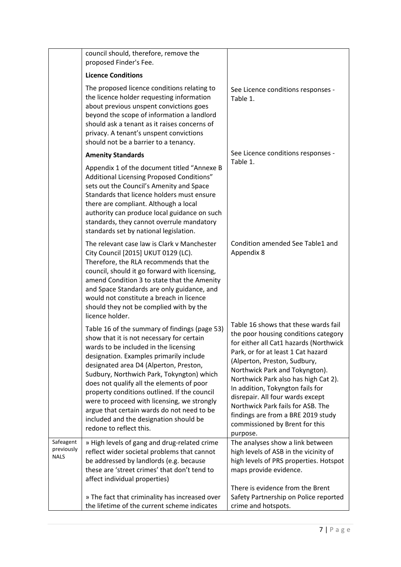|                                        | council should, therefore, remove the<br>proposed Finder's Fee.                                                                                                                                                                                                                                                                                                                                                                                                                                                                      |                                                                                                                                                                                                                                                                                                                                                                                                                                                                         |
|----------------------------------------|--------------------------------------------------------------------------------------------------------------------------------------------------------------------------------------------------------------------------------------------------------------------------------------------------------------------------------------------------------------------------------------------------------------------------------------------------------------------------------------------------------------------------------------|-------------------------------------------------------------------------------------------------------------------------------------------------------------------------------------------------------------------------------------------------------------------------------------------------------------------------------------------------------------------------------------------------------------------------------------------------------------------------|
|                                        | <b>Licence Conditions</b>                                                                                                                                                                                                                                                                                                                                                                                                                                                                                                            |                                                                                                                                                                                                                                                                                                                                                                                                                                                                         |
|                                        | The proposed licence conditions relating to<br>the licence holder requesting information<br>about previous unspent convictions goes<br>beyond the scope of information a landlord<br>should ask a tenant as it raises concerns of<br>privacy. A tenant's unspent convictions<br>should not be a barrier to a tenancy.                                                                                                                                                                                                                | See Licence conditions responses -<br>Table 1.                                                                                                                                                                                                                                                                                                                                                                                                                          |
|                                        | <b>Amenity Standards</b>                                                                                                                                                                                                                                                                                                                                                                                                                                                                                                             | See Licence conditions responses -<br>Table 1.                                                                                                                                                                                                                                                                                                                                                                                                                          |
|                                        | Appendix 1 of the document titled "Annexe B<br>Additional Licensing Proposed Conditions"<br>sets out the Council's Amenity and Space<br>Standards that licence holders must ensure<br>there are compliant. Although a local<br>authority can produce local guidance on such<br>standards, they cannot overrule mandatory<br>standards set by national legislation.                                                                                                                                                                   |                                                                                                                                                                                                                                                                                                                                                                                                                                                                         |
|                                        | The relevant case law is Clark v Manchester<br>City Council [2015] UKUT 0129 (LC).<br>Therefore, the RLA recommends that the<br>council, should it go forward with licensing,<br>amend Condition 3 to state that the Amenity<br>and Space Standards are only guidance, and<br>would not constitute a breach in licence<br>should they not be complied with by the<br>licence holder.                                                                                                                                                 | Condition amended See Table1 and<br>Appendix 8                                                                                                                                                                                                                                                                                                                                                                                                                          |
|                                        | Table 16 of the summary of findings (page 53)<br>show that it is not necessary for certain<br>wards to be included in the licensing<br>designation. Examples primarily include<br>designated area D4 (Alperton, Preston,<br>Sudbury, Northwich Park, Tokyngton) which<br>does not qualify all the elements of poor<br>property conditions outlined. If the council<br>were to proceed with licensing, we strongly<br>argue that certain wards do not need to be<br>included and the designation should be<br>redone to reflect this. | Table 16 shows that these wards fail<br>the poor housing conditions category<br>for either all Cat1 hazards (Northwick<br>Park, or for at least 1 Cat hazard<br>(Alperton, Preston, Sudbury,<br>Northwick Park and Tokyngton).<br>Northwick Park also has high Cat 2).<br>In addition, Tokyngton fails for<br>disrepair. All four wards except<br>Northwick Park fails for ASB. The<br>findings are from a BRE 2019 study<br>commissioned by Brent for this<br>purpose. |
| Safeagent<br>previously<br><b>NALS</b> | » High levels of gang and drug-related crime<br>reflect wider societal problems that cannot<br>be addressed by landlords (e.g. because<br>these are 'street crimes' that don't tend to<br>affect individual properties)<br>» The fact that criminality has increased over                                                                                                                                                                                                                                                            | The analyses show a link between<br>high levels of ASB in the vicinity of<br>high levels of PRS properties. Hotspot<br>maps provide evidence.<br>There is evidence from the Brent<br>Safety Partnership on Police reported                                                                                                                                                                                                                                              |
|                                        | the lifetime of the current scheme indicates                                                                                                                                                                                                                                                                                                                                                                                                                                                                                         | crime and hotspots.                                                                                                                                                                                                                                                                                                                                                                                                                                                     |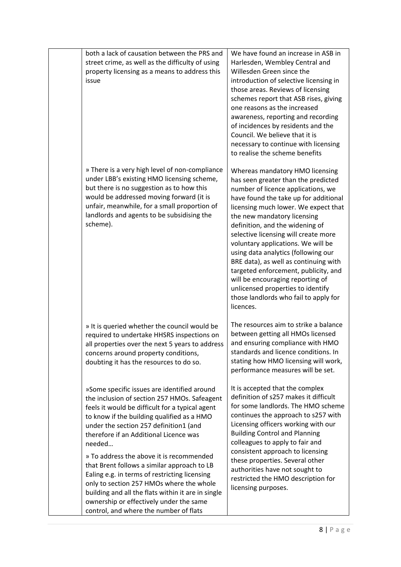| both a lack of causation between the PRS and<br>street crime, as well as the difficulty of using<br>property licensing as a means to address this<br>issue                                                                                                                                                                      | We have found an increase in ASB in<br>Harlesden, Wembley Central and<br>Willesden Green since the<br>introduction of selective licensing in<br>those areas. Reviews of licensing<br>schemes report that ASB rises, giving<br>one reasons as the increased<br>awareness, reporting and recording<br>of incidences by residents and the<br>Council. We believe that it is<br>necessary to continue with licensing<br>to realise the scheme benefits                                                                                                                                                   |
|---------------------------------------------------------------------------------------------------------------------------------------------------------------------------------------------------------------------------------------------------------------------------------------------------------------------------------|------------------------------------------------------------------------------------------------------------------------------------------------------------------------------------------------------------------------------------------------------------------------------------------------------------------------------------------------------------------------------------------------------------------------------------------------------------------------------------------------------------------------------------------------------------------------------------------------------|
| » There is a very high level of non-compliance<br>under LBB's existing HMO licensing scheme,<br>but there is no suggestion as to how this<br>would be addressed moving forward (it is<br>unfair, meanwhile, for a small proportion of<br>landlords and agents to be subsidising the<br>scheme).                                 | Whereas mandatory HMO licensing<br>has seen greater than the predicted<br>number of licence applications, we<br>have found the take up for additional<br>licensing much lower. We expect that<br>the new mandatory licensing<br>definition, and the widening of<br>selective licensing will create more<br>voluntary applications. We will be<br>using data analytics (following our<br>BRE data), as well as continuing with<br>targeted enforcement, publicity, and<br>will be encouraging reporting of<br>unlicensed properties to identify<br>those landlords who fail to apply for<br>licences. |
| » It is queried whether the council would be<br>required to undertake HHSRS inspections on<br>all properties over the next 5 years to address<br>concerns around property conditions,<br>doubting it has the resources to do so.                                                                                                | The resources aim to strike a balance<br>between getting all HMOs licensed<br>and ensuring compliance with HMO<br>standards and licence conditions. In<br>stating how HMO licensing will work,<br>performance measures will be set.                                                                                                                                                                                                                                                                                                                                                                  |
| »Some specific issues are identified around<br>the inclusion of section 257 HMOs. Safeagent<br>feels it would be difficult for a typical agent<br>to know if the building qualified as a HMO<br>under the section 257 definition1 (and<br>therefore if an Additional Licence was<br>needed                                      | It is accepted that the complex<br>definition of s257 makes it difficult<br>for some landlords. The HMO scheme<br>continues the approach to s257 with<br>Licensing officers working with our<br><b>Building Control and Planning</b><br>colleagues to apply to fair and                                                                                                                                                                                                                                                                                                                              |
| » To address the above it is recommended<br>that Brent follows a similar approach to LB<br>Ealing e.g. in terms of restricting licensing<br>only to section 257 HMOs where the whole<br>building and all the flats within it are in single<br>ownership or effectively under the same<br>control, and where the number of flats | consistent approach to licensing<br>these properties. Several other<br>authorities have not sought to<br>restricted the HMO description for<br>licensing purposes.                                                                                                                                                                                                                                                                                                                                                                                                                                   |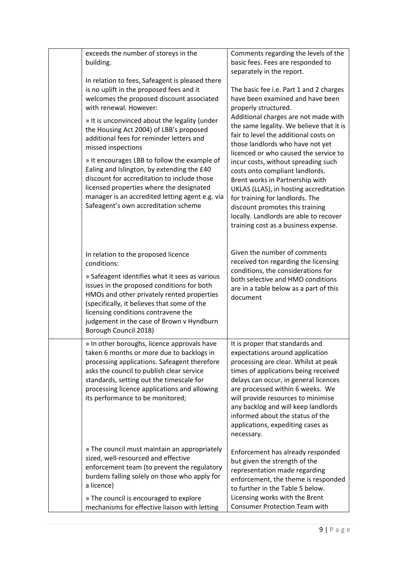| exceeds the number of storeys in the<br>building.<br>In relation to fees, Safeagent is pleased there<br>is no uplift in the proposed fees and it<br>welcomes the proposed discount associated<br>with renewal. However:<br>» It is unconvinced about the legality (under<br>the Housing Act 2004) of LBB's proposed<br>additional fees for reminder letters and<br>missed inspections<br>» It encourages LBB to follow the example of<br>Ealing and Islington, by extending the £40<br>discount for accreditation to include those<br>licensed properties where the designated<br>manager is an accredited letting agent e.g. via<br>Safeagent's own accreditation scheme | Comments regarding the levels of the<br>basic fees. Fees are responded to<br>separately in the report.<br>The basic fee i.e. Part 1 and 2 charges<br>have been examined and have been<br>properly structured.<br>Additional charges are not made with<br>the same legality. We believe that it is<br>fair to level the additional costs on<br>those landlords who have not yet<br>licenced or who caused the service to<br>incur costs, without spreading such<br>costs onto compliant landlords.<br>Brent works in Partnership with<br>UKLAS (LLAS), in hosting accreditation<br>for training for landlords. The<br>discount promotes this training<br>locally. Landlords are able to recover<br>training cost as a business expense. |
|---------------------------------------------------------------------------------------------------------------------------------------------------------------------------------------------------------------------------------------------------------------------------------------------------------------------------------------------------------------------------------------------------------------------------------------------------------------------------------------------------------------------------------------------------------------------------------------------------------------------------------------------------------------------------|----------------------------------------------------------------------------------------------------------------------------------------------------------------------------------------------------------------------------------------------------------------------------------------------------------------------------------------------------------------------------------------------------------------------------------------------------------------------------------------------------------------------------------------------------------------------------------------------------------------------------------------------------------------------------------------------------------------------------------------|
| In relation to the proposed licence<br>conditions:<br>» Safeagent identifies what it sees as various<br>issues in the proposed conditions for both<br>HMOs and other privately rented properties<br>(specifically, it believes that some of the<br>licensing conditions contravene the<br>judgement in the case of Brown v Hyndburn<br>Borough Council 2018)                                                                                                                                                                                                                                                                                                              | Given the number of comments<br>received ton regarding the licensing<br>conditions, the considerations for<br>both selective and HMO conditions<br>are in a table below as a part of this<br>document                                                                                                                                                                                                                                                                                                                                                                                                                                                                                                                                  |
| » In other boroughs, licence approvals have<br>taken 6 months or more due to backlogs in<br>processing applications. Safeagent therefore<br>asks the council to publish clear service<br>standards, setting out the timescale for<br>processing licence applications and allowing<br>its performance to be monitored;                                                                                                                                                                                                                                                                                                                                                     | It is proper that standards and<br>expectations around application<br>processing are clear. Whilst at peak<br>times of applications being received<br>delays can occur, in general licences<br>are processed within 6 weeks. We<br>will provide resources to minimise<br>any backlog and will keep landlords<br>informed about the status of the<br>applications, expediting cases as<br>necessary.                                                                                                                                                                                                                                                                                                                                    |
| » The council must maintain an appropriately<br>sized, well-resourced and effective<br>enforcement team (to prevent the regulatory<br>burdens falling solely on those who apply for<br>a licence)<br>» The council is encouraged to explore<br>mechanisms for effective liaison with letting                                                                                                                                                                                                                                                                                                                                                                              | Enforcement has already responded<br>but given the strength of the<br>representation made regarding<br>enforcement, the theme is responded<br>to further in the Table 5 below.<br>Licensing works with the Brent<br>Consumer Protection Team with                                                                                                                                                                                                                                                                                                                                                                                                                                                                                      |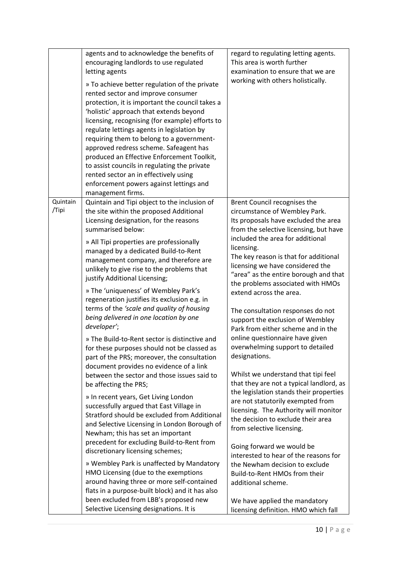| agents and to acknowledge the benefits of<br>encouraging landlords to use regulated<br>letting agents<br>» To achieve better regulation of the private<br>rented sector and improve consumer<br>protection, it is important the council takes a<br>'holistic' approach that extends beyond<br>licensing, recognising (for example) efforts to<br>regulate lettings agents in legislation by<br>requiring them to belong to a government-<br>approved redress scheme. Safeagent has<br>produced an Effective Enforcement Toolkit,<br>to assist councils in regulating the private<br>rented sector an in effectively using<br>enforcement powers against lettings and<br>management firms.                                                                                                                                                                                                                                                                                                                                                                                                                                                                                                                                                                                                                                                                                                                                                     | regard to regulating letting agents.<br>This area is worth further<br>examination to ensure that we are<br>working with others holistically.                                                                                                                                                                                                                                                                                                                                                                                                                                                                                                                                                                                                                                                                                                                                                                                                                                                                                                                                                                          |
|-----------------------------------------------------------------------------------------------------------------------------------------------------------------------------------------------------------------------------------------------------------------------------------------------------------------------------------------------------------------------------------------------------------------------------------------------------------------------------------------------------------------------------------------------------------------------------------------------------------------------------------------------------------------------------------------------------------------------------------------------------------------------------------------------------------------------------------------------------------------------------------------------------------------------------------------------------------------------------------------------------------------------------------------------------------------------------------------------------------------------------------------------------------------------------------------------------------------------------------------------------------------------------------------------------------------------------------------------------------------------------------------------------------------------------------------------|-----------------------------------------------------------------------------------------------------------------------------------------------------------------------------------------------------------------------------------------------------------------------------------------------------------------------------------------------------------------------------------------------------------------------------------------------------------------------------------------------------------------------------------------------------------------------------------------------------------------------------------------------------------------------------------------------------------------------------------------------------------------------------------------------------------------------------------------------------------------------------------------------------------------------------------------------------------------------------------------------------------------------------------------------------------------------------------------------------------------------|
| Quintain<br>Quintain and Tipi object to the inclusion of<br>/Tipi<br>the site within the proposed Additional<br>Licensing designation, for the reasons<br>summarised below:<br>» All Tipi properties are professionally<br>managed by a dedicated Build-to-Rent<br>management company, and therefore are<br>unlikely to give rise to the problems that<br>justify Additional Licensing;<br>» The 'uniqueness' of Wembley Park's<br>regeneration justifies its exclusion e.g. in<br>terms of the 'scale and quality of housing<br>being delivered in one location by one<br>developer';<br>» The Build-to-Rent sector is distinctive and<br>for these purposes should not be classed as<br>part of the PRS; moreover, the consultation<br>document provides no evidence of a link<br>between the sector and those issues said to<br>be affecting the PRS;<br>» In recent years, Get Living London<br>successfully argued that East Village in<br>Stratford should be excluded from Additional<br>and Selective Licensing in London Borough of<br>Newham; this has set an important<br>precedent for excluding Build-to-Rent from<br>discretionary licensing schemes;<br>» Wembley Park is unaffected by Mandatory<br>HMO Licensing (due to the exemptions<br>around having three or more self-contained<br>flats in a purpose-built block) and it has also<br>been excluded from LBB's proposed new<br>Selective Licensing designations. It is | Brent Council recognises the<br>circumstance of Wembley Park.<br>Its proposals have excluded the area<br>from the selective licensing, but have<br>included the area for additional<br>licensing.<br>The key reason is that for additional<br>licensing we have considered the<br>"area" as the entire borough and that<br>the problems associated with HMOs<br>extend across the area.<br>The consultation responses do not<br>support the exclusion of Wembley<br>Park from either scheme and in the<br>online questionnaire have given<br>overwhelming support to detailed<br>designations.<br>Whilst we understand that tipi feel<br>that they are not a typical landlord, as<br>the legislation stands their properties<br>are not statutorily exempted from<br>licensing. The Authority will monitor<br>the decision to exclude their area<br>from selective licensing.<br>Going forward we would be<br>interested to hear of the reasons for<br>the Newham decision to exclude<br>Build-to-Rent HMOs from their<br>additional scheme.<br>We have applied the mandatory<br>licensing definition. HMO which fall |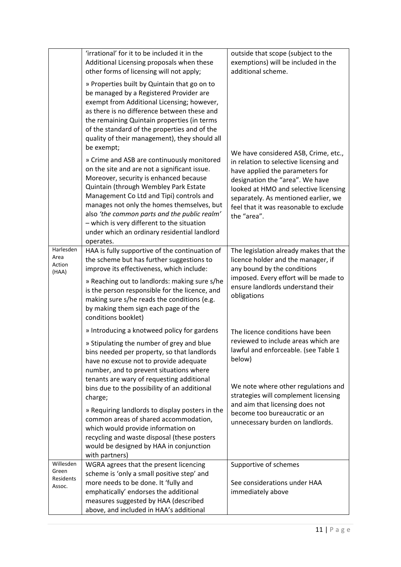|                                           | 'irrational' for it to be included it in the<br>Additional Licensing proposals when these<br>other forms of licensing will not apply;                                                                                                                                                                                                                                                                                                                                                                                                                                              | outside that scope (subject to the<br>exemptions) will be included in the<br>additional scheme.                                                                                                                                                                                                                  |
|-------------------------------------------|------------------------------------------------------------------------------------------------------------------------------------------------------------------------------------------------------------------------------------------------------------------------------------------------------------------------------------------------------------------------------------------------------------------------------------------------------------------------------------------------------------------------------------------------------------------------------------|------------------------------------------------------------------------------------------------------------------------------------------------------------------------------------------------------------------------------------------------------------------------------------------------------------------|
|                                           | » Properties built by Quintain that go on to<br>be managed by a Registered Provider are<br>exempt from Additional Licensing; however,<br>as there is no difference between these and<br>the remaining Quintain properties (in terms<br>of the standard of the properties and of the<br>quality of their management), they should all<br>be exempt;                                                                                                                                                                                                                                 |                                                                                                                                                                                                                                                                                                                  |
|                                           | » Crime and ASB are continuously monitored<br>on the site and are not a significant issue.<br>Moreover, security is enhanced because<br>Quintain (through Wembley Park Estate<br>Management Co Ltd and Tipi) controls and<br>manages not only the homes themselves, but<br>also 'the common parts and the public realm'<br>- which is very different to the situation<br>under which an ordinary residential landlord<br>operates.                                                                                                                                                 | We have considered ASB, Crime, etc.,<br>in relation to selective licensing and<br>have applied the parameters for<br>designation the "area". We have<br>looked at HMO and selective licensing<br>separately. As mentioned earlier, we<br>feel that it was reasonable to exclude<br>the "area".                   |
| Harlesden<br>Area<br>Action<br>(HAA)      | HAA is fully supportive of the continuation of<br>the scheme but has further suggestions to<br>improve its effectiveness, which include:<br>» Reaching out to landlords: making sure s/he<br>is the person responsible for the licence, and<br>making sure s/he reads the conditions (e.g.<br>by making them sign each page of the<br>conditions booklet)                                                                                                                                                                                                                          | The legislation already makes that the<br>licence holder and the manager, if<br>any bound by the conditions<br>imposed. Every effort will be made to<br>ensure landlords understand their<br>obligations                                                                                                         |
|                                           | » Introducing a knotweed policy for gardens<br>» Stipulating the number of grey and blue<br>bins needed per property, so that landlords<br>have no excuse not to provide adequate<br>number, and to prevent situations where<br>tenants are wary of requesting additional<br>bins due to the possibility of an additional<br>charge;<br>» Requiring landlords to display posters in the<br>common areas of shared accommodation,<br>which would provide information on<br>recycling and waste disposal (these posters<br>would be designed by HAA in conjunction<br>with partners) | The licence conditions have been<br>reviewed to include areas which are<br>lawful and enforceable. (see Table 1<br>below)<br>We note where other regulations and<br>strategies will complement licensing<br>and aim that licensing does not<br>become too bureaucratic or an<br>unnecessary burden on landlords. |
| Willesden<br>Green<br>Residents<br>Assoc. | WGRA agrees that the present licencing<br>scheme is 'only a small positive step' and<br>more needs to be done. It 'fully and<br>emphatically' endorses the additional<br>measures suggested by HAA (described<br>above, and included in HAA's additional                                                                                                                                                                                                                                                                                                                           | Supportive of schemes<br>See considerations under HAA<br>immediately above                                                                                                                                                                                                                                       |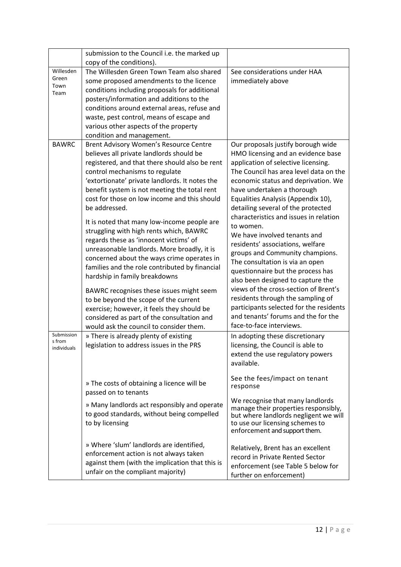|                                     | submission to the Council i.e. the marked up                                                                                                                                                                                                                                                                                                                                                                                                                                                                                                                                                                                                                                                                                                                                                                                                                                              |                                                                                                                                                                                                                                                                                                                                                                                                                                                                                                                                                                                                                                                                                                                                                                                   |
|-------------------------------------|-------------------------------------------------------------------------------------------------------------------------------------------------------------------------------------------------------------------------------------------------------------------------------------------------------------------------------------------------------------------------------------------------------------------------------------------------------------------------------------------------------------------------------------------------------------------------------------------------------------------------------------------------------------------------------------------------------------------------------------------------------------------------------------------------------------------------------------------------------------------------------------------|-----------------------------------------------------------------------------------------------------------------------------------------------------------------------------------------------------------------------------------------------------------------------------------------------------------------------------------------------------------------------------------------------------------------------------------------------------------------------------------------------------------------------------------------------------------------------------------------------------------------------------------------------------------------------------------------------------------------------------------------------------------------------------------|
|                                     | copy of the conditions).                                                                                                                                                                                                                                                                                                                                                                                                                                                                                                                                                                                                                                                                                                                                                                                                                                                                  |                                                                                                                                                                                                                                                                                                                                                                                                                                                                                                                                                                                                                                                                                                                                                                                   |
| Willesden<br>Green<br>Town<br>Team  | The Willesden Green Town Team also shared<br>some proposed amendments to the licence<br>conditions including proposals for additional<br>posters/information and additions to the<br>conditions around external areas, refuse and<br>waste, pest control, means of escape and<br>various other aspects of the property                                                                                                                                                                                                                                                                                                                                                                                                                                                                                                                                                                    | See considerations under HAA<br>immediately above                                                                                                                                                                                                                                                                                                                                                                                                                                                                                                                                                                                                                                                                                                                                 |
|                                     | condition and management.                                                                                                                                                                                                                                                                                                                                                                                                                                                                                                                                                                                                                                                                                                                                                                                                                                                                 |                                                                                                                                                                                                                                                                                                                                                                                                                                                                                                                                                                                                                                                                                                                                                                                   |
| <b>BAWRC</b>                        | Brent Advisory Women's Resource Centre<br>believes all private landlords should be<br>registered, and that there should also be rent<br>control mechanisms to regulate<br>'extortionate' private landlords. It notes the<br>benefit system is not meeting the total rent<br>cost for those on low income and this should<br>be addressed.<br>It is noted that many low-income people are<br>struggling with high rents which, BAWRC<br>regards these as 'innocent victims' of<br>unreasonable landlords. More broadly, it is<br>concerned about the ways crime operates in<br>families and the role contributed by financial<br>hardship in family breakdowns<br>BAWRC recognises these issues might seem<br>to be beyond the scope of the current<br>exercise; however, it feels they should be<br>considered as part of the consultation and<br>would ask the council to consider them. | Our proposals justify borough wide<br>HMO licensing and an evidence base<br>application of selective licensing.<br>The Council has area level data on the<br>economic status and deprivation. We<br>have undertaken a thorough<br>Equalities Analysis (Appendix 10),<br>detailing several of the protected<br>characteristics and issues in relation<br>to women.<br>We have involved tenants and<br>residents' associations, welfare<br>groups and Community champions.<br>The consultation is via an open<br>questionnaire but the process has<br>also been designed to capture the<br>views of the cross-section of Brent's<br>residents through the sampling of<br>participants selected for the residents<br>and tenants' forums and the for the<br>face-to-face interviews. |
| Submission<br>s from<br>individuals | » There is already plenty of existing<br>legislation to address issues in the PRS                                                                                                                                                                                                                                                                                                                                                                                                                                                                                                                                                                                                                                                                                                                                                                                                         | In adopting these discretionary<br>licensing, the Council is able to<br>extend the use regulatory powers<br>available.                                                                                                                                                                                                                                                                                                                                                                                                                                                                                                                                                                                                                                                            |
|                                     | » The costs of obtaining a licence will be<br>passed on to tenants                                                                                                                                                                                                                                                                                                                                                                                                                                                                                                                                                                                                                                                                                                                                                                                                                        | See the fees/impact on tenant<br>response                                                                                                                                                                                                                                                                                                                                                                                                                                                                                                                                                                                                                                                                                                                                         |
|                                     | » Many landlords act responsibly and operate<br>to good standards, without being compelled<br>to by licensing                                                                                                                                                                                                                                                                                                                                                                                                                                                                                                                                                                                                                                                                                                                                                                             | We recognise that many landlords<br>manage their properties responsibly,<br>but where landlords negligent we will<br>to use our licensing schemes to<br>enforcement and support them.                                                                                                                                                                                                                                                                                                                                                                                                                                                                                                                                                                                             |
|                                     | » Where 'slum' landlords are identified,<br>enforcement action is not always taken<br>against them (with the implication that this is<br>unfair on the compliant majority)                                                                                                                                                                                                                                                                                                                                                                                                                                                                                                                                                                                                                                                                                                                | Relatively, Brent has an excellent<br>record in Private Rented Sector<br>enforcement (see Table 5 below for<br>further on enforcement)                                                                                                                                                                                                                                                                                                                                                                                                                                                                                                                                                                                                                                            |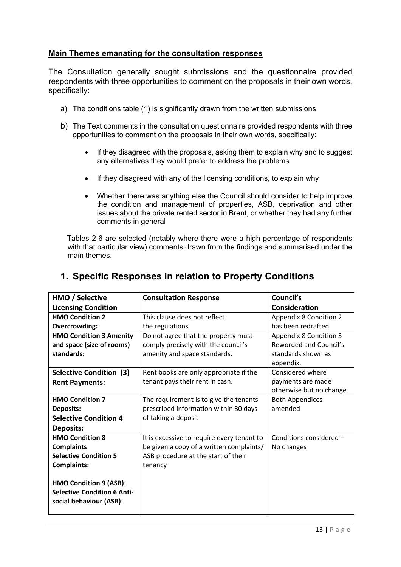#### **Main Themes emanating for the consultation responses**

The Consultation generally sought submissions and the questionnaire provided respondents with three opportunities to comment on the proposals in their own words, specifically:

- a) The conditions table (1) is significantly drawn from the written submissions
- b) The Text comments in the consultation questionnaire provided respondents with three opportunities to comment on the proposals in their own words, specifically:
	- If they disagreed with the proposals, asking them to explain why and to suggest any alternatives they would prefer to address the problems
	- If they disagreed with any of the licensing conditions, to explain why
	- Whether there was anything else the Council should consider to help improve the condition and management of properties, ASB, deprivation and other issues about the private rented sector in Brent, or whether they had any further comments in general

 Tables 2-6 are selected (notably where there were a high percentage of respondents with that particular view) comments drawn from the findings and summarised under the main themes.

| HMO / Selective                    | <b>Consultation Response</b>               | Council's                     |
|------------------------------------|--------------------------------------------|-------------------------------|
| <b>Licensing Condition</b>         |                                            | <b>Consideration</b>          |
| <b>HMO Condition 2</b>             | This clause does not reflect               | <b>Appendix 8 Condition 2</b> |
| Overcrowding:                      | the regulations                            | has been redrafted            |
| <b>HMO Condition 3 Amenity</b>     | Do not agree that the property must        | <b>Appendix 8 Condition 3</b> |
| and space (size of rooms)          | comply precisely with the council's        | Reworded and Council's        |
| standards:                         | amenity and space standards.               | standards shown as            |
|                                    |                                            | appendix.                     |
| Selective Condition (3)            | Rent books are only appropriate if the     | Considered where              |
| <b>Rent Payments:</b>              | tenant pays their rent in cash.            | payments are made             |
|                                    |                                            | otherwise but no change       |
| <b>HMO Condition 7</b>             | The requirement is to give the tenants     | <b>Both Appendices</b>        |
| <b>Deposits:</b>                   | prescribed information within 30 days      | amended                       |
| <b>Selective Condition 4</b>       | of taking a deposit                        |                               |
| <b>Deposits:</b>                   |                                            |                               |
| <b>HMO Condition 8</b>             | It is excessive to require every tenant to | Conditions considered -       |
| <b>Complaints</b>                  | be given a copy of a written complaints/   | No changes                    |
| <b>Selective Condition 5</b>       | ASB procedure at the start of their        |                               |
| <b>Complaints:</b>                 | tenancy                                    |                               |
|                                    |                                            |                               |
| HMO Condition 9 (ASB):             |                                            |                               |
| <b>Selective Condition 6 Anti-</b> |                                            |                               |
| social behaviour (ASB):            |                                            |                               |
|                                    |                                            |                               |

#### **1. Specific Responses in relation to Property Conditions**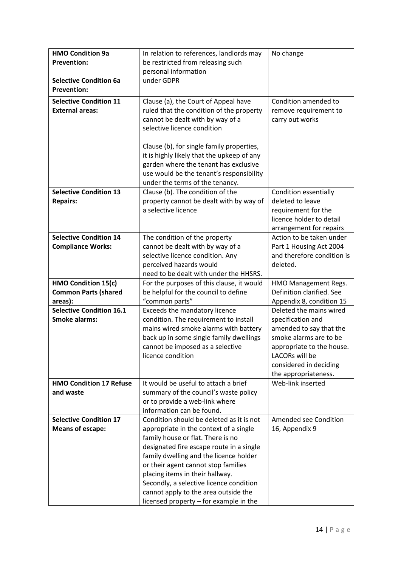| In relation to references, landlords may<br>No change<br><b>Prevention:</b><br>be restricted from releasing such<br>personal information<br>under GDPR<br><b>Selective Condition 6a</b><br><b>Prevention:</b><br><b>Selective Condition 11</b><br>Clause (a), the Court of Appeal have<br>Condition amended to<br><b>External areas:</b><br>ruled that the condition of the property<br>remove requirement to<br>cannot be dealt with by way of a<br>carry out works<br>selective licence condition<br>Clause (b), for single family properties,<br>it is highly likely that the upkeep of any<br>garden where the tenant has exclusive<br>use would be the tenant's responsibility |
|-------------------------------------------------------------------------------------------------------------------------------------------------------------------------------------------------------------------------------------------------------------------------------------------------------------------------------------------------------------------------------------------------------------------------------------------------------------------------------------------------------------------------------------------------------------------------------------------------------------------------------------------------------------------------------------|
|                                                                                                                                                                                                                                                                                                                                                                                                                                                                                                                                                                                                                                                                                     |
|                                                                                                                                                                                                                                                                                                                                                                                                                                                                                                                                                                                                                                                                                     |
|                                                                                                                                                                                                                                                                                                                                                                                                                                                                                                                                                                                                                                                                                     |
|                                                                                                                                                                                                                                                                                                                                                                                                                                                                                                                                                                                                                                                                                     |
|                                                                                                                                                                                                                                                                                                                                                                                                                                                                                                                                                                                                                                                                                     |
|                                                                                                                                                                                                                                                                                                                                                                                                                                                                                                                                                                                                                                                                                     |
|                                                                                                                                                                                                                                                                                                                                                                                                                                                                                                                                                                                                                                                                                     |
|                                                                                                                                                                                                                                                                                                                                                                                                                                                                                                                                                                                                                                                                                     |
|                                                                                                                                                                                                                                                                                                                                                                                                                                                                                                                                                                                                                                                                                     |
|                                                                                                                                                                                                                                                                                                                                                                                                                                                                                                                                                                                                                                                                                     |
|                                                                                                                                                                                                                                                                                                                                                                                                                                                                                                                                                                                                                                                                                     |
|                                                                                                                                                                                                                                                                                                                                                                                                                                                                                                                                                                                                                                                                                     |
|                                                                                                                                                                                                                                                                                                                                                                                                                                                                                                                                                                                                                                                                                     |
| under the terms of the tenancy.                                                                                                                                                                                                                                                                                                                                                                                                                                                                                                                                                                                                                                                     |
| <b>Selective Condition 13</b><br>Clause (b). The condition of the<br>Condition essentially                                                                                                                                                                                                                                                                                                                                                                                                                                                                                                                                                                                          |
| <b>Repairs:</b><br>property cannot be dealt with by way of<br>deleted to leave                                                                                                                                                                                                                                                                                                                                                                                                                                                                                                                                                                                                      |
| a selective licence<br>requirement for the                                                                                                                                                                                                                                                                                                                                                                                                                                                                                                                                                                                                                                          |
| licence holder to detail                                                                                                                                                                                                                                                                                                                                                                                                                                                                                                                                                                                                                                                            |
| arrangement for repairs                                                                                                                                                                                                                                                                                                                                                                                                                                                                                                                                                                                                                                                             |
| Action to be taken under<br><b>Selective Condition 14</b><br>The condition of the property                                                                                                                                                                                                                                                                                                                                                                                                                                                                                                                                                                                          |
| <b>Compliance Works:</b><br>cannot be dealt with by way of a<br>Part 1 Housing Act 2004                                                                                                                                                                                                                                                                                                                                                                                                                                                                                                                                                                                             |
| and therefore condition is<br>selective licence condition. Any                                                                                                                                                                                                                                                                                                                                                                                                                                                                                                                                                                                                                      |
| perceived hazards would<br>deleted.                                                                                                                                                                                                                                                                                                                                                                                                                                                                                                                                                                                                                                                 |
| need to be dealt with under the HHSRS.                                                                                                                                                                                                                                                                                                                                                                                                                                                                                                                                                                                                                                              |
| HMO Condition 15(c)<br>For the purposes of this clause, it would<br>HMO Management Regs.                                                                                                                                                                                                                                                                                                                                                                                                                                                                                                                                                                                            |
| be helpful for the council to define<br>Definition clarified. See<br><b>Common Parts (shared</b>                                                                                                                                                                                                                                                                                                                                                                                                                                                                                                                                                                                    |
| "common parts"<br>areas):<br>Appendix 8, condition 15                                                                                                                                                                                                                                                                                                                                                                                                                                                                                                                                                                                                                               |
| <b>Selective Condition 16.1</b><br>Deleted the mains wired<br>Exceeds the mandatory licence                                                                                                                                                                                                                                                                                                                                                                                                                                                                                                                                                                                         |
| <b>Smoke alarms:</b><br>condition. The requirement to install<br>specification and                                                                                                                                                                                                                                                                                                                                                                                                                                                                                                                                                                                                  |
| mains wired smoke alarms with battery<br>amended to say that the                                                                                                                                                                                                                                                                                                                                                                                                                                                                                                                                                                                                                    |
| back up in some single family dwellings<br>smoke alarms are to be                                                                                                                                                                                                                                                                                                                                                                                                                                                                                                                                                                                                                   |
| cannot be imposed as a selective<br>appropriate to the house.                                                                                                                                                                                                                                                                                                                                                                                                                                                                                                                                                                                                                       |
| licence condition<br>LACORs will be                                                                                                                                                                                                                                                                                                                                                                                                                                                                                                                                                                                                                                                 |
| considered in deciding                                                                                                                                                                                                                                                                                                                                                                                                                                                                                                                                                                                                                                                              |
| the appropriateness.                                                                                                                                                                                                                                                                                                                                                                                                                                                                                                                                                                                                                                                                |
| Web-link inserted<br><b>HMO Condition 17 Refuse</b><br>It would be useful to attach a brief                                                                                                                                                                                                                                                                                                                                                                                                                                                                                                                                                                                         |
| summary of the council's waste policy<br>and waste                                                                                                                                                                                                                                                                                                                                                                                                                                                                                                                                                                                                                                  |
| or to provide a web-link where                                                                                                                                                                                                                                                                                                                                                                                                                                                                                                                                                                                                                                                      |
| information can be found.<br><b>Selective Condition 17</b>                                                                                                                                                                                                                                                                                                                                                                                                                                                                                                                                                                                                                          |
| Condition should be deleted as it is not<br>Amended see Condition                                                                                                                                                                                                                                                                                                                                                                                                                                                                                                                                                                                                                   |
| <b>Means of escape:</b><br>appropriate in the context of a single<br>16, Appendix 9<br>family house or flat. There is no                                                                                                                                                                                                                                                                                                                                                                                                                                                                                                                                                            |
| designated fire escape route in a single                                                                                                                                                                                                                                                                                                                                                                                                                                                                                                                                                                                                                                            |
| family dwelling and the licence holder                                                                                                                                                                                                                                                                                                                                                                                                                                                                                                                                                                                                                                              |
| or their agent cannot stop families                                                                                                                                                                                                                                                                                                                                                                                                                                                                                                                                                                                                                                                 |
| placing items in their hallway.                                                                                                                                                                                                                                                                                                                                                                                                                                                                                                                                                                                                                                                     |
| Secondly, a selective licence condition                                                                                                                                                                                                                                                                                                                                                                                                                                                                                                                                                                                                                                             |
| cannot apply to the area outside the                                                                                                                                                                                                                                                                                                                                                                                                                                                                                                                                                                                                                                                |
| licensed property - for example in the                                                                                                                                                                                                                                                                                                                                                                                                                                                                                                                                                                                                                                              |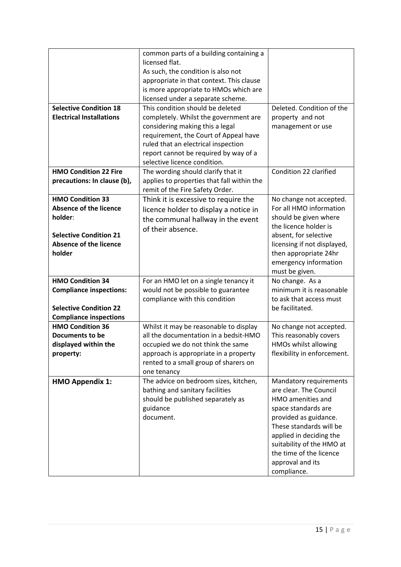| <b>Selective Condition 18</b><br><b>Electrical Installations</b>                                                                                | common parts of a building containing a<br>licensed flat.<br>As such, the condition is also not<br>appropriate in that context. This clause<br>is more appropriate to HMOs which are<br>licensed under a separate scheme.<br>This condition should be deleted<br>completely. Whilst the government are<br>considering making this a legal<br>requirement, the Court of Appeal have<br>ruled that an electrical inspection<br>report cannot be required by way of a<br>selective licence condition. | Deleted. Condition of the<br>property and not<br>management or use                                                                                                                                                                                                     |
|-------------------------------------------------------------------------------------------------------------------------------------------------|----------------------------------------------------------------------------------------------------------------------------------------------------------------------------------------------------------------------------------------------------------------------------------------------------------------------------------------------------------------------------------------------------------------------------------------------------------------------------------------------------|------------------------------------------------------------------------------------------------------------------------------------------------------------------------------------------------------------------------------------------------------------------------|
| <b>HMO Condition 22 Fire</b><br>precautions: In clause (b),                                                                                     | The wording should clarify that it<br>applies to properties that fall within the<br>remit of the Fire Safety Order.                                                                                                                                                                                                                                                                                                                                                                                | Condition 22 clarified                                                                                                                                                                                                                                                 |
| <b>HMO Condition 33</b><br><b>Absence of the licence</b><br>holder:<br><b>Selective Condition 21</b><br><b>Absence of the licence</b><br>holder | Think it is excessive to require the<br>licence holder to display a notice in<br>the communal hallway in the event<br>of their absence.                                                                                                                                                                                                                                                                                                                                                            | No change not accepted.<br>For all HMO information<br>should be given where<br>the licence holder is<br>absent, for selective<br>licensing if not displayed,<br>then appropriate 24hr<br>emergency information<br>must be given.                                       |
| <b>HMO Condition 34</b><br><b>Compliance inspections:</b><br><b>Selective Condition 22</b><br><b>Compliance inspections</b>                     | For an HMO let on a single tenancy it<br>would not be possible to guarantee<br>compliance with this condition                                                                                                                                                                                                                                                                                                                                                                                      | No change. As a<br>minimum it is reasonable<br>to ask that access must<br>be facilitated.                                                                                                                                                                              |
| <b>HMO Condition 36</b><br>Documents to be<br>displayed within the<br>property:                                                                 | Whilst it may be reasonable to display<br>all the documentation in a bedsit-HMO<br>occupied we do not think the same<br>approach is appropriate in a property<br>rented to a small group of sharers on<br>one tenancy                                                                                                                                                                                                                                                                              | No change not accepted.<br>This reasonably covers<br>HMOs whilst allowing<br>flexibility in enforcement.                                                                                                                                                               |
| <b>HMO Appendix 1:</b>                                                                                                                          | The advice on bedroom sizes, kitchen,<br>bathing and sanitary facilities<br>should be published separately as<br>guidance<br>document.                                                                                                                                                                                                                                                                                                                                                             | Mandatory requirements<br>are clear. The Council<br>HMO amenities and<br>space standards are<br>provided as guidance.<br>These standards will be<br>applied in deciding the<br>suitability of the HMO at<br>the time of the licence<br>approval and its<br>compliance. |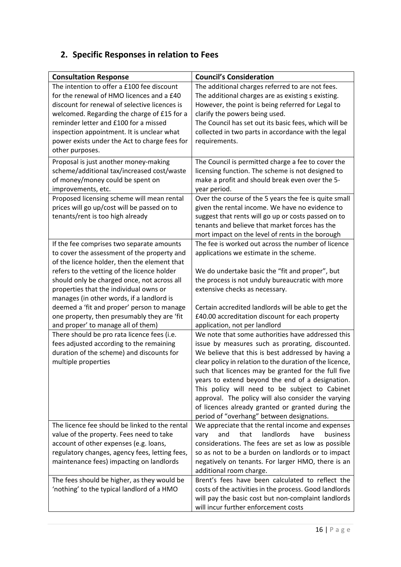## **2. Specific Responses in relation to Fees**

| <b>Consultation Response</b>                                                                                                                                                                                                                                                                                                                       | <b>Council's Consideration</b>                                                                                                                                                                                                                                                                                                                                                                                                                                                                                                                 |
|----------------------------------------------------------------------------------------------------------------------------------------------------------------------------------------------------------------------------------------------------------------------------------------------------------------------------------------------------|------------------------------------------------------------------------------------------------------------------------------------------------------------------------------------------------------------------------------------------------------------------------------------------------------------------------------------------------------------------------------------------------------------------------------------------------------------------------------------------------------------------------------------------------|
| The intention to offer a £100 fee discount<br>for the renewal of HMO licences and a £40<br>discount for renewal of selective licences is<br>welcomed. Regarding the charge of £15 for a<br>reminder letter and £100 for a missed<br>inspection appointment. It is unclear what<br>power exists under the Act to charge fees for<br>other purposes. | The additional charges referred to are not fees.<br>The additional charges are as existing s existing.<br>However, the point is being referred for Legal to<br>clarify the powers being used.<br>The Council has set out its basic fees, which will be<br>collected in two parts in accordance with the legal<br>requirements.                                                                                                                                                                                                                 |
| Proposal is just another money-making<br>scheme/additional tax/increased cost/waste<br>of money/money could be spent on<br>improvements, etc.                                                                                                                                                                                                      | The Council is permitted charge a fee to cover the<br>licensing function. The scheme is not designed to<br>make a profit and should break even over the 5-<br>year period.                                                                                                                                                                                                                                                                                                                                                                     |
| Proposed licensing scheme will mean rental<br>prices will go up/cost will be passed on to<br>tenants/rent is too high already                                                                                                                                                                                                                      | Over the course of the 5 years the fee is quite small<br>given the rental income. We have no evidence to<br>suggest that rents will go up or costs passed on to<br>tenants and believe that market forces has the<br>mort impact on the level of rents in the borough                                                                                                                                                                                                                                                                          |
| If the fee comprises two separate amounts<br>to cover the assessment of the property and<br>of the licence holder, then the element that<br>refers to the vetting of the licence holder<br>should only be charged once, not across all<br>properties that the individual owns or<br>manages (in other words, if a landlord is                      | The fee is worked out across the number of licence<br>applications we estimate in the scheme.<br>We do undertake basic the "fit and proper", but<br>the process is not unduly bureaucratic with more<br>extensive checks as necessary.                                                                                                                                                                                                                                                                                                         |
| deemed a 'fit and proper' person to manage<br>one property, then presumably they are 'fit<br>and proper' to manage all of them)                                                                                                                                                                                                                    | Certain accredited landlords will be able to get the<br>£40.00 accreditation discount for each property<br>application, not per landlord                                                                                                                                                                                                                                                                                                                                                                                                       |
| There should be pro rata licence fees (i.e.<br>fees adjusted according to the remaining<br>duration of the scheme) and discounts for<br>multiple properties                                                                                                                                                                                        | We note that some authorities have addressed this<br>issue by measures such as prorating, discounted.<br>We believe that this is best addressed by having a<br>clear policy in relation to the duration of the licence,<br>such that licences may be granted for the full five<br>years to extend beyond the end of a designation.<br>This policy will need to be subject to Cabinet<br>approval. The policy will also consider the varying<br>of licences already granted or granted during the<br>period of "overhang" between designations. |
| The licence fee should be linked to the rental<br>value of the property. Fees need to take<br>account of other expenses (e.g. loans,<br>regulatory changes, agency fees, letting fees,<br>maintenance fees) impacting on landlords                                                                                                                 | We appreciate that the rental income and expenses<br>that<br>landlords<br>have<br>and<br><b>business</b><br>vary<br>considerations. The fees are set as low as possible<br>so as not to be a burden on landlords or to impact<br>negatively on tenants. For larger HMO, there is an<br>additional room charge.                                                                                                                                                                                                                                 |
| The fees should be higher, as they would be<br>'nothing' to the typical landlord of a HMO                                                                                                                                                                                                                                                          | Brent's fees have been calculated to reflect the<br>costs of the activities in the process. Good landlords<br>will pay the basic cost but non-complaint landlords<br>will incur further enforcement costs                                                                                                                                                                                                                                                                                                                                      |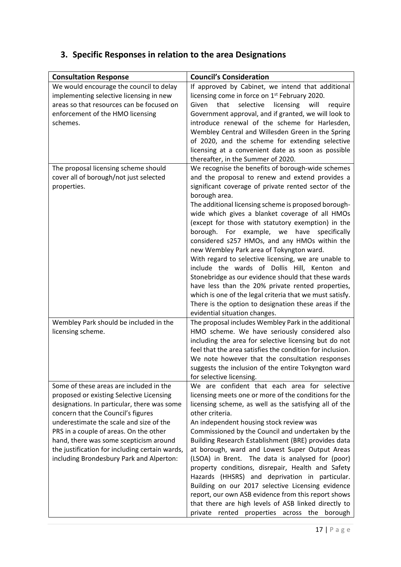## **3. Specific Responses in relation to the area Designations**

| <b>Consultation Response</b>                                                                                                                                                                                                                                                                                                                                                                          | <b>Council's Consideration</b>                                                                                                                                                                                                                                                                                                                                                                                                                                                                                                                                                                                                                                                                                                                                                                                                                                            |
|-------------------------------------------------------------------------------------------------------------------------------------------------------------------------------------------------------------------------------------------------------------------------------------------------------------------------------------------------------------------------------------------------------|---------------------------------------------------------------------------------------------------------------------------------------------------------------------------------------------------------------------------------------------------------------------------------------------------------------------------------------------------------------------------------------------------------------------------------------------------------------------------------------------------------------------------------------------------------------------------------------------------------------------------------------------------------------------------------------------------------------------------------------------------------------------------------------------------------------------------------------------------------------------------|
| We would encourage the council to delay<br>implementing selective licensing in new<br>areas so that resources can be focused on<br>enforcement of the HMO licensing<br>schemes.                                                                                                                                                                                                                       | If approved by Cabinet, we intend that additional<br>licensing come in force on 1 <sup>st</sup> February 2020.<br>that<br>selective<br>Given<br>licensing<br>will<br>require<br>Government approval, and if granted, we will look to<br>introduce renewal of the scheme for Harlesden,<br>Wembley Central and Willesden Green in the Spring<br>of 2020, and the scheme for extending selective<br>licensing at a convenient date as soon as possible<br>thereafter, in the Summer of 2020.                                                                                                                                                                                                                                                                                                                                                                                |
| The proposal licensing scheme should<br>cover all of borough/not just selected<br>properties.                                                                                                                                                                                                                                                                                                         | We recognise the benefits of borough-wide schemes<br>and the proposal to renew and extend provides a<br>significant coverage of private rented sector of the<br>borough area.<br>The additional licensing scheme is proposed borough-<br>wide which gives a blanket coverage of all HMOs<br>(except for those with statutory exemption) in the<br>borough. For example, we<br>have<br>specifically<br>considered s257 HMOs, and any HMOs within the<br>new Wembley Park area of Tokyngton ward.<br>With regard to selective licensing, we are unable to<br>include the wards of Dollis Hill, Kenton and<br>Stonebridge as our evidence should that these wards<br>have less than the 20% private rented properties,<br>which is one of the legal criteria that we must satisfy.<br>There is the option to designation these areas if the<br>evidential situation changes. |
| Wembley Park should be included in the<br>licensing scheme.                                                                                                                                                                                                                                                                                                                                           | The proposal includes Wembley Park in the additional<br>HMO scheme. We have seriously considered also<br>including the area for selective licensing but do not<br>feel that the area satisfies the condition for inclusion.<br>We note however that the consultation responses<br>suggests the inclusion of the entire Tokyngton ward<br>for selective licensing.                                                                                                                                                                                                                                                                                                                                                                                                                                                                                                         |
| Some of these areas are included in the<br>proposed or existing Selective Licensing<br>designations. In particular, there was some<br>concern that the Council's figures<br>underestimate the scale and size of the<br>PRS in a couple of areas. On the other<br>hand, there was some scepticism around<br>the justification for including certain wards,<br>including Brondesbury Park and Alperton: | We are confident that each area for selective<br>licensing meets one or more of the conditions for the<br>licensing scheme, as well as the satisfying all of the<br>other criteria.<br>An independent housing stock review was<br>Commissioned by the Council and undertaken by the<br>Building Research Establishment (BRE) provides data<br>at borough, ward and Lowest Super Output Areas<br>(LSOA) in Brent. The data is analysed for (poor)<br>property conditions, disrepair, Health and Safety<br>Hazards (HHSRS) and deprivation in particular.<br>Building on our 2017 selective Licensing evidence<br>report, our own ASB evidence from this report shows<br>that there are high levels of ASB linked directly to<br>properties across the<br>private rented<br>borough                                                                                         |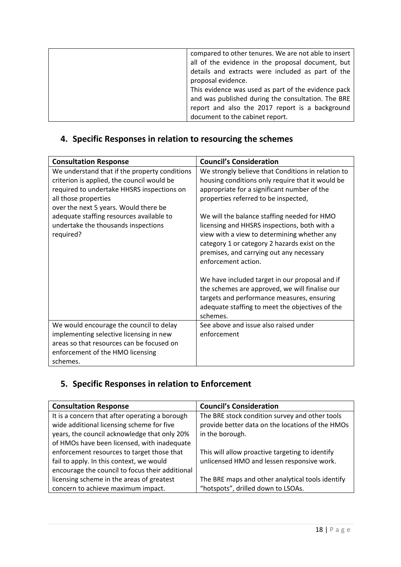| compared to other tenures. We are not able to insert<br>all of the evidence in the proposal document, but<br>details and extracts were included as part of the<br>proposal evidence.<br>This evidence was used as part of the evidence pack<br>and was published during the consultation. The BRE<br>report and also the 2017 report is a background |
|------------------------------------------------------------------------------------------------------------------------------------------------------------------------------------------------------------------------------------------------------------------------------------------------------------------------------------------------------|
| document to the cabinet report.                                                                                                                                                                                                                                                                                                                      |
|                                                                                                                                                                                                                                                                                                                                                      |

## **4. Specific Responses in relation to resourcing the schemes**

| <b>Consultation Response</b>                  | <b>Council's Consideration</b>                     |
|-----------------------------------------------|----------------------------------------------------|
| We understand that if the property conditions | We strongly believe that Conditions in relation to |
| criterion is applied, the council would be    | housing conditions only require that it would be   |
| required to undertake HHSRS inspections on    | appropriate for a significant number of the        |
| all those properties                          | properties referred to be inspected,               |
| over the next 5 years. Would there be         |                                                    |
| adequate staffing resources available to      | We will the balance staffing needed for HMO        |
| undertake the thousands inspections           | licensing and HHSRS inspections, both with a       |
| required?                                     | view with a view to determining whether any        |
|                                               | category 1 or category 2 hazards exist on the      |
|                                               | premises, and carrying out any necessary           |
|                                               | enforcement action.                                |
|                                               |                                                    |
|                                               | We have included target in our proposal and if     |
|                                               | the schemes are approved, we will finalise our     |
|                                               | targets and performance measures, ensuring         |
|                                               | adequate staffing to meet the objectives of the    |
|                                               | schemes.                                           |
| We would encourage the council to delay       | See above and issue also raised under              |
| implementing selective licensing in new       | enforcement                                        |
| areas so that resources can be focused on     |                                                    |
| enforcement of the HMO licensing              |                                                    |
| schemes.                                      |                                                    |

## **5. Specific Responses in relation to Enforcement**

| <b>Consultation Response</b>                    | <b>Council's Consideration</b>                   |
|-------------------------------------------------|--------------------------------------------------|
| It is a concern that after operating a borough  | The BRE stock condition survey and other tools   |
| wide additional licensing scheme for five       | provide better data on the locations of the HMOs |
| years, the council acknowledge that only 20%    | in the borough.                                  |
| of HMOs have been licensed, with inadequate     |                                                  |
| enforcement resources to target those that      | This will allow proactive targeting to identify  |
| fail to apply. In this context, we would        | unlicensed HMO and lessen responsive work.       |
| encourage the council to focus their additional |                                                  |
| licensing scheme in the areas of greatest       | The BRE maps and other analytical tools identify |
| concern to achieve maximum impact.              | "hotspots", drilled down to LSOAs.               |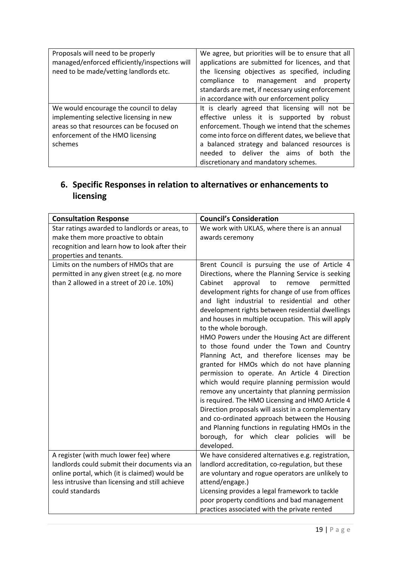| Proposals will need to be properly<br>managed/enforced efficiently/inspections will | We agree, but priorities will be to ensure that all<br>applications are submitted for licences, and that |
|-------------------------------------------------------------------------------------|----------------------------------------------------------------------------------------------------------|
| need to be made/vetting landlords etc.                                              | the licensing objectives as specified, including                                                         |
|                                                                                     | compliance to management and<br>property                                                                 |
|                                                                                     | standards are met, if necessary using enforcement                                                        |
|                                                                                     | in accordance with our enforcement policy                                                                |
| We would encourage the council to delay                                             | It is clearly agreed that licensing will not be                                                          |
| implementing selective licensing in new                                             | effective unless it is supported by robust                                                               |
| areas so that resources can be focused on                                           | enforcement. Though we intend that the schemes                                                           |
| enforcement of the HMO licensing                                                    | come into force on different dates, we believe that                                                      |
| schemes                                                                             | a balanced strategy and balanced resources is                                                            |
|                                                                                     | needed to deliver the aims of both the                                                                   |
|                                                                                     | discretionary and mandatory schemes.                                                                     |

## **6. Specific Responses in relation to alternatives or enhancements to licensing**

| <b>Consultation Response</b>                                                                                                        | <b>Council's Consideration</b>                                                                                                                                                                                                                                |
|-------------------------------------------------------------------------------------------------------------------------------------|---------------------------------------------------------------------------------------------------------------------------------------------------------------------------------------------------------------------------------------------------------------|
| Star ratings awarded to landlords or areas, to                                                                                      | We work with UKLAS, where there is an annual                                                                                                                                                                                                                  |
| make them more proactive to obtain                                                                                                  | awards ceremony                                                                                                                                                                                                                                               |
| recognition and learn how to look after their                                                                                       |                                                                                                                                                                                                                                                               |
| properties and tenants.                                                                                                             |                                                                                                                                                                                                                                                               |
| Limits on the numbers of HMOs that are<br>permitted in any given street (e.g. no more<br>than 2 allowed in a street of 20 i.e. 10%) | Brent Council is pursuing the use of Article 4<br>Directions, where the Planning Service is seeking<br>Cabinet<br>to<br>approval<br>remove<br>permitted<br>development rights for change of use from offices<br>and light industrial to residential and other |
|                                                                                                                                     | development rights between residential dwellings<br>and houses in multiple occupation. This will apply                                                                                                                                                        |
|                                                                                                                                     | to the whole borough.                                                                                                                                                                                                                                         |
|                                                                                                                                     | HMO Powers under the Housing Act are different                                                                                                                                                                                                                |
|                                                                                                                                     | to those found under the Town and Country<br>Planning Act, and therefore licenses may be                                                                                                                                                                      |
|                                                                                                                                     | granted for HMOs which do not have planning                                                                                                                                                                                                                   |
|                                                                                                                                     | permission to operate. An Article 4 Direction                                                                                                                                                                                                                 |
|                                                                                                                                     | which would require planning permission would                                                                                                                                                                                                                 |
|                                                                                                                                     | remove any uncertainty that planning permission                                                                                                                                                                                                               |
|                                                                                                                                     | is required. The HMO Licensing and HMO Article 4                                                                                                                                                                                                              |
|                                                                                                                                     | Direction proposals will assist in a complementary                                                                                                                                                                                                            |
|                                                                                                                                     | and co-ordinated approach between the Housing                                                                                                                                                                                                                 |
|                                                                                                                                     | and Planning functions in regulating HMOs in the                                                                                                                                                                                                              |
|                                                                                                                                     | borough, for which clear policies will be                                                                                                                                                                                                                     |
|                                                                                                                                     | developed.                                                                                                                                                                                                                                                    |
| A register (with much lower fee) where                                                                                              | We have considered alternatives e.g. registration,                                                                                                                                                                                                            |
| landlords could submit their documents via an                                                                                       | landlord accreditation, co-regulation, but these                                                                                                                                                                                                              |
| online portal, which (it is claimed) would be                                                                                       | are voluntary and rogue operators are unlikely to                                                                                                                                                                                                             |
| less intrusive than licensing and still achieve<br>could standards                                                                  | attend/engage.)                                                                                                                                                                                                                                               |
|                                                                                                                                     | Licensing provides a legal framework to tackle                                                                                                                                                                                                                |
|                                                                                                                                     | poor property conditions and bad management                                                                                                                                                                                                                   |
|                                                                                                                                     | practices associated with the private rented                                                                                                                                                                                                                  |